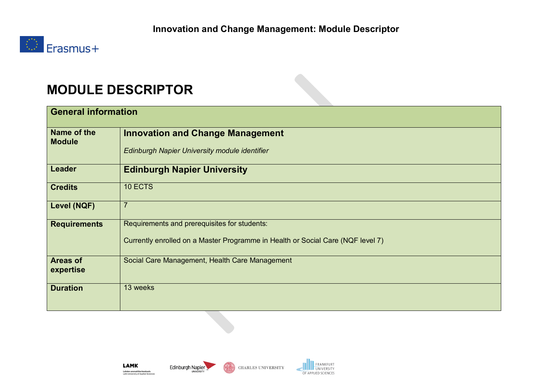

## **MODULE DESCRIPTOR**

| <b>General information</b>   |                                                                                 |  |  |  |
|------------------------------|---------------------------------------------------------------------------------|--|--|--|
| Name of the<br><b>Module</b> | <b>Innovation and Change Management</b>                                         |  |  |  |
|                              | Edinburgh Napier University module identifier                                   |  |  |  |
| <b>Leader</b>                | <b>Edinburgh Napier University</b>                                              |  |  |  |
| <b>Credits</b>               | 10 ECTS                                                                         |  |  |  |
| Level (NQF)                  | $\overline{7}$                                                                  |  |  |  |
| <b>Requirements</b>          | Requirements and prerequisites for students:                                    |  |  |  |
|                              | Currently enrolled on a Master Programme in Health or Social Care (NQF level 7) |  |  |  |
| <b>Areas of</b><br>expertise | Social Care Management, Health Care Management                                  |  |  |  |
| <b>Duration</b>              | 13 weeks                                                                        |  |  |  |

**LAMK** Lahden ammattikorkeakoulu<br>Lahti University of Applied Sciences





**FRANKFURT**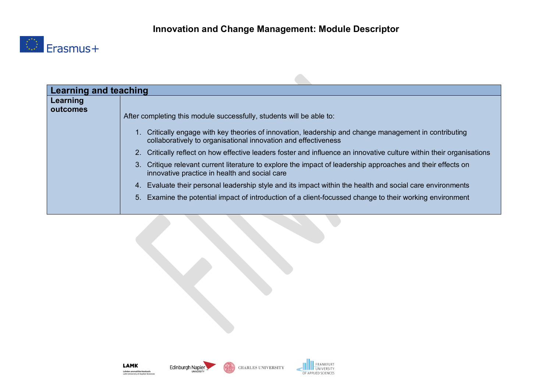$\blacksquare$ 



| <b>Learning and teaching</b> |                                                                                                                                                                                                                                                                                                                                                                                                                                                                                                                                                                                                                                                                                                                                                                   |  |  |  |  |
|------------------------------|-------------------------------------------------------------------------------------------------------------------------------------------------------------------------------------------------------------------------------------------------------------------------------------------------------------------------------------------------------------------------------------------------------------------------------------------------------------------------------------------------------------------------------------------------------------------------------------------------------------------------------------------------------------------------------------------------------------------------------------------------------------------|--|--|--|--|
| Learning<br>outcomes         | After completing this module successfully, students will be able to:<br>1. Critically engage with key theories of innovation, leadership and change management in contributing<br>collaboratively to organisational innovation and effectiveness<br>2. Critically reflect on how effective leaders foster and influence an innovative culture within their organisations<br>3. Critique relevant current literature to explore the impact of leadership approaches and their effects on<br>innovative practice in health and social care<br>4. Evaluate their personal leadership style and its impact within the health and social care environments<br>5. Examine the potential impact of introduction of a client-focussed change to their working environment |  |  |  |  |
|                              |                                                                                                                                                                                                                                                                                                                                                                                                                                                                                                                                                                                                                                                                                                                                                                   |  |  |  |  |

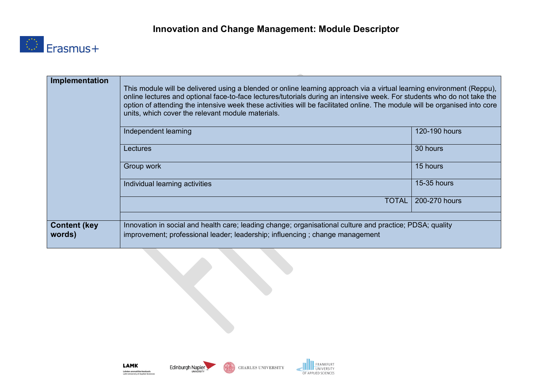

| Implementation                 | This module will be delivered using a blended or online learning approach via a virtual learning environment (Reppu),<br>online lectures and optional face-to-face lectures/tutorials during an intensive week. For students who do not take the<br>option of attending the intensive week these activities will be facilitated online. The module will be organised into core<br>units, which cover the relevant module materials. |               |  |  |  |
|--------------------------------|-------------------------------------------------------------------------------------------------------------------------------------------------------------------------------------------------------------------------------------------------------------------------------------------------------------------------------------------------------------------------------------------------------------------------------------|---------------|--|--|--|
|                                | Independent learning                                                                                                                                                                                                                                                                                                                                                                                                                | 120-190 hours |  |  |  |
|                                | Lectures                                                                                                                                                                                                                                                                                                                                                                                                                            | 30 hours      |  |  |  |
|                                | Group work                                                                                                                                                                                                                                                                                                                                                                                                                          | 15 hours      |  |  |  |
|                                | Individual learning activities                                                                                                                                                                                                                                                                                                                                                                                                      | 15-35 hours   |  |  |  |
|                                | TOTAL                                                                                                                                                                                                                                                                                                                                                                                                                               | 200-270 hours |  |  |  |
|                                |                                                                                                                                                                                                                                                                                                                                                                                                                                     |               |  |  |  |
| <b>Content (key)</b><br>words) | Innovation in social and health care; leading change; organisational culture and practice; PDSA; quality<br>improvement; professional leader; leadership; influencing ; change management                                                                                                                                                                                                                                           |               |  |  |  |





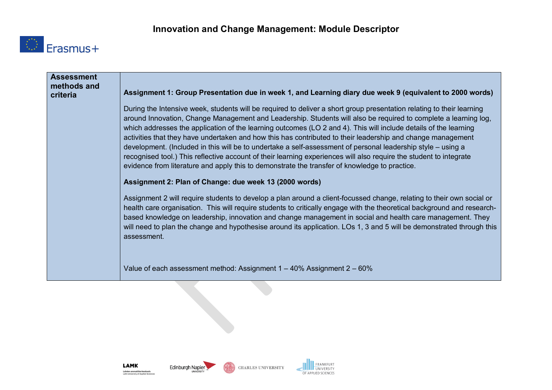

| <b>Assessment</b><br>methods and<br>criteria | Assignment 1: Group Presentation due in week 1, and Learning diary due week 9 (equivalent to 2000 words)                                                                                                                                                                                                                                                                                                                                                                                                                                                                                                                                                                                                                                                                                                           |
|----------------------------------------------|--------------------------------------------------------------------------------------------------------------------------------------------------------------------------------------------------------------------------------------------------------------------------------------------------------------------------------------------------------------------------------------------------------------------------------------------------------------------------------------------------------------------------------------------------------------------------------------------------------------------------------------------------------------------------------------------------------------------------------------------------------------------------------------------------------------------|
|                                              | During the Intensive week, students will be required to deliver a short group presentation relating to their learning<br>around Innovation, Change Management and Leadership. Students will also be required to complete a learning log,<br>which addresses the application of the learning outcomes (LO 2 and 4). This will include details of the learning<br>activities that they have undertaken and how this has contributed to their leadership and change management<br>development. (Included in this will be to undertake a self-assessment of personal leadership style – using a<br>recognised tool.) This reflective account of their learning experiences will also require the student to integrate<br>evidence from literature and apply this to demonstrate the transfer of knowledge to practice. |
|                                              | Assignment 2: Plan of Change: due week 13 (2000 words)                                                                                                                                                                                                                                                                                                                                                                                                                                                                                                                                                                                                                                                                                                                                                             |
|                                              | Assignment 2 will require students to develop a plan around a client-focussed change, relating to their own social or<br>health care organisation. This will require students to critically engage with the theoretical background and research-<br>based knowledge on leadership, innovation and change management in social and health care management. They<br>will need to plan the change and hypothesise around its application. LOs 1, 3 and 5 will be demonstrated through this<br>assessment.                                                                                                                                                                                                                                                                                                             |
|                                              | Value of each assessment method: Assignment $1 - 40\%$ Assignment $2 - 60\%$                                                                                                                                                                                                                                                                                                                                                                                                                                                                                                                                                                                                                                                                                                                                       |





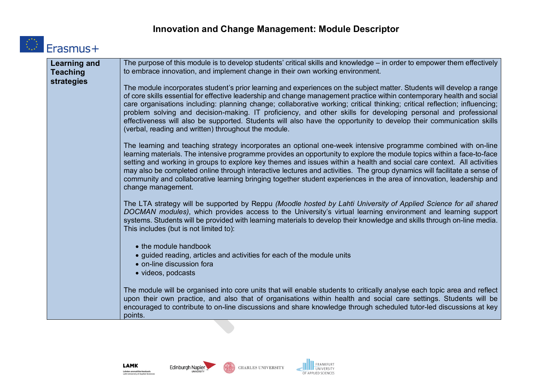## **Innovation and Change Management: Module Descriptor**



| <b>Learning and</b><br><b>Teaching</b><br><b>strategies</b> | The purpose of this module is to develop students' critical skills and knowledge – in order to empower them effectively<br>to embrace innovation, and implement change in their own working environment.                                                                                                                                                                                                                                                                                                                                                                                                                                                                       |
|-------------------------------------------------------------|--------------------------------------------------------------------------------------------------------------------------------------------------------------------------------------------------------------------------------------------------------------------------------------------------------------------------------------------------------------------------------------------------------------------------------------------------------------------------------------------------------------------------------------------------------------------------------------------------------------------------------------------------------------------------------|
|                                                             | The module incorporates student's prior learning and experiences on the subject matter. Students will develop a range<br>of core skills essential for effective leadership and change management practice within contemporary health and social<br>care organisations including: planning change; collaborative working; critical thinking; critical reflection; influencing;<br>problem solving and decision-making. IT proficiency, and other skills for developing personal and professional<br>effectiveness will also be supported. Students will also have the opportunity to develop their communication skills<br>(verbal, reading and written) throughout the module. |
|                                                             | The learning and teaching strategy incorporates an optional one-week intensive programme combined with on-line<br>learning materials. The intensive programme provides an opportunity to explore the module topics within a face-to-face<br>setting and working in groups to explore key themes and issues within a health and social care context. All activities<br>may also be completed online through interactive lectures and activities. The group dynamics will facilitate a sense of<br>community and collaborative learning bringing together student experiences in the area of innovation, leadership and<br>change management.                                    |
|                                                             | The LTA strategy will be supported by Reppu (Moodle hosted by Lahti University of Applied Science for all shared<br>DOCMAN modules), which provides access to the University's virtual learning environment and learning support<br>systems. Students will be provided with learning materials to develop their knowledge and skills through on-line media.<br>This includes (but is not limited to):                                                                                                                                                                                                                                                                          |
|                                                             | • the module handbook<br>• guided reading, articles and activities for each of the module units<br>• on-line discussion fora<br>· videos, podcasts                                                                                                                                                                                                                                                                                                                                                                                                                                                                                                                             |
|                                                             | The module will be organised into core units that will enable students to critically analyse each topic area and reflect<br>upon their own practice, and also that of organisations within health and social care settings. Students will be<br>encouraged to contribute to on-line discussions and share knowledge through scheduled tutor-led discussions at key<br>points.                                                                                                                                                                                                                                                                                                  |



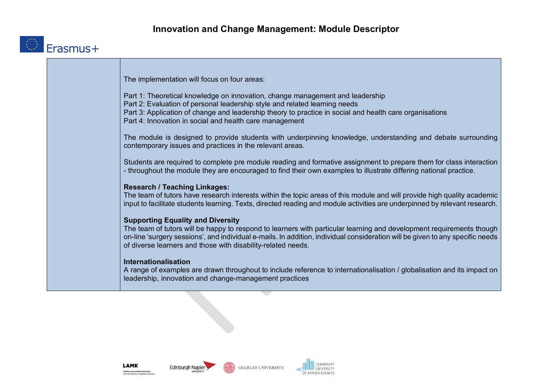

| The implementation will focus on four areas:                                                                                                                                                                                                                                                                          |
|-----------------------------------------------------------------------------------------------------------------------------------------------------------------------------------------------------------------------------------------------------------------------------------------------------------------------|
| Part 1: Theoretical knowledge on innovation, change management and leadership<br>Part 2: Evaluation of personal leadership style and related learning needs                                                                                                                                                           |
| Part 3: Application of change and leadership theory to practice in social and health care organisations<br>Part 4: Innovation in social and health care management                                                                                                                                                    |
| The module is designed to provide students with underpinning knowledge, understanding and debate surrounding<br>contemporary issues and practices in the relevant areas.                                                                                                                                              |
| Students are required to complete pre module reading and formative assignment to prepare them for class interaction<br>- throughout the module they are encouraged to find their own examples to illustrate differing national practice.                                                                              |
| <b>Research / Teaching Linkages:</b>                                                                                                                                                                                                                                                                                  |
| The team of tutors have research interests within the topic areas of this module and will provide high quality academic<br>input to facilitate students learning. Texts, directed reading and module activities are underpinned by relevant research.                                                                 |
| <b>Supporting Equality and Diversity</b>                                                                                                                                                                                                                                                                              |
| The team of tutors will be happy to respond to learners with particular learning and development requirements though<br>on-line 'surgery sessions', and individual e-mails. In addition, individual consideration will be given to any specific needs<br>of diverse learners and those with disability-related needs. |
| Internationalisation<br>A range of examples are drawn throughout to include reference to internationalisation / globalisation and its impact on<br>leadership, innovation and change-management practices                                                                                                             |





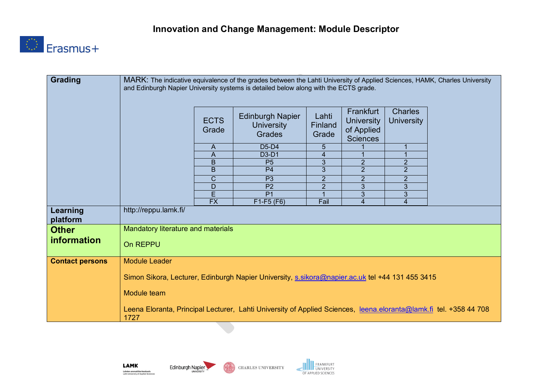

| <b>Grading</b>         | MARK: The indicative equivalence of the grades between the Lahti University of Applied Sciences, HAMK, Charles University<br>and Edinburgh Napier University systems is detailed below along with the ECTS grade. |                      |                                                               |                           |                                                                 |                                     |  |
|------------------------|-------------------------------------------------------------------------------------------------------------------------------------------------------------------------------------------------------------------|----------------------|---------------------------------------------------------------|---------------------------|-----------------------------------------------------------------|-------------------------------------|--|
|                        |                                                                                                                                                                                                                   | <b>ECTS</b><br>Grade | <b>Edinburgh Napier</b><br><b>University</b><br><b>Grades</b> | Lahti<br>Finland<br>Grade | Frankfurt<br><b>University</b><br>of Applied<br><b>Sciences</b> | <b>Charles</b><br><b>University</b> |  |
|                        |                                                                                                                                                                                                                   | A                    | D5-D4                                                         | 5                         |                                                                 |                                     |  |
|                        |                                                                                                                                                                                                                   | $\overline{A}$       | D3-D1                                                         | 4                         |                                                                 |                                     |  |
|                        |                                                                                                                                                                                                                   | $\mathsf B$          | P <sub>5</sub>                                                | 3                         | $\overline{2}$                                                  | $\overline{2}$                      |  |
|                        |                                                                                                                                                                                                                   | B                    | P <sub>4</sub>                                                | $\overline{3}$            | $\overline{2}$                                                  | $\overline{2}$                      |  |
|                        |                                                                                                                                                                                                                   | $\mathsf{C}$         | P <sub>3</sub>                                                | $\overline{2}$            | $\overline{2}$                                                  | $\overline{2}$                      |  |
|                        |                                                                                                                                                                                                                   | D<br>E               | P <sub>2</sub><br>P <sub>1</sub>                              | $\overline{2}$            | 3<br>3                                                          | 3<br>3                              |  |
|                        |                                                                                                                                                                                                                   | $\overline{FX}$      | $F1-F5(F6)$                                                   | Fail                      | $\overline{\mathbf{4}}$                                         | $\overline{4}$                      |  |
| Learning<br>platform   | http://reppu.lamk.fi/                                                                                                                                                                                             |                      |                                                               |                           |                                                                 |                                     |  |
| <b>Other</b>           | Mandatory literature and materials                                                                                                                                                                                |                      |                                                               |                           |                                                                 |                                     |  |
| information            | On REPPU                                                                                                                                                                                                          |                      |                                                               |                           |                                                                 |                                     |  |
| <b>Contact persons</b> | Module Leader                                                                                                                                                                                                     |                      |                                                               |                           |                                                                 |                                     |  |
|                        | Simon Sikora, Lecturer, Edinburgh Napier University, s.sikora@napier.ac.uk tel +44 131 455 3415                                                                                                                   |                      |                                                               |                           |                                                                 |                                     |  |
|                        | Module team                                                                                                                                                                                                       |                      |                                                               |                           |                                                                 |                                     |  |
|                        | Leena Eloranta, Principal Lecturer, Lahti University of Applied Sciences, leena.eloranta@lamk.fi tel. +358 44 708<br>1727                                                                                         |                      |                                                               |                           |                                                                 |                                     |  |

**LAMK Lahden ammattikorkeakoulu**<br>Lahti University of Applied Sciences